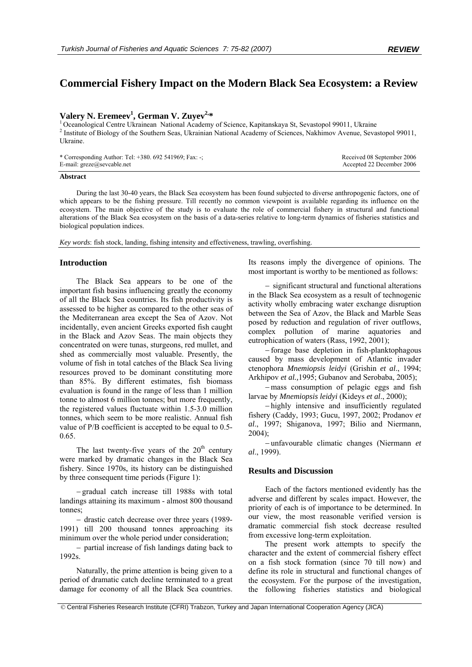# **Commercial Fishery Impact on the Modern Black Sea Ecosystem: a Review**

## Valery N. Eremeev<sup>1</sup>, German V. Zuyev<sup>2,\*</sup>

<sup>1</sup> Oceanological Centre Ukrainean National Academy of Science, Kapitanskaya St, Sevastopol 99011, Ukraine <sup>2</sup> Institute of Biology of the Southern Seas, Ukrainian National Academy of Sciences, Nakhimov Avenue, Sevastopol 99011, Ukraine.

| * Corresponding Author: Tel: +380. 692 541969; Fax: -; | Received 08 September 2006 |
|--------------------------------------------------------|----------------------------|
| E-mail: $greze@sev cable.net$                          | Accepted 22 December 2006  |

#### **Abstract**

During the last 30-40 years, the Black Sea ecosystem has been found subjected to diverse anthropogenic factors, one of which appears to be the fishing pressure. Till recently no common viewpoint is available regarding its influence on the ecosystem. The main objective of the study is to evaluate the role of commercial fishery in structural and functional alterations of the Black Sea ecosystem on the basis of a data-series relative to long-term dynamics of fisheries statistics and biological population indices.

*Key words*: fish stock, landing, fishing intensity and effectiveness, trawling, overfishing.

#### **Introduction**

The Black Sea appears to be one of the important fish basins influencing greatly the economy of all the Black Sea countries. Its fish productivity is assessed to be higher as compared to the other seas of the Mediterranean area except the Sea of Azov. Not incidentally, even ancient Greeks exported fish caught in the Black and Azov Seas. The main objects they concentrated on were tunas, sturgeons, red mullet, and shed as commercially most valuable. Presently, the volume of fish in total catches of the Black Sea living resources proved to be dominant constituting more than 85%. By different estimates, fish biomass evaluation is found in the range of less than 1 million tonne to almost 6 million tonnes; but more frequently, the registered values fluctuate within 1.5-3.0 million tonnes, which seem to be more realistic. Annual fish value of P/B coefficient is accepted to be equal to 0.5- 0.65.

The last twenty-five years of the  $20<sup>th</sup>$  century were marked by dramatic changes in the Black Sea fishery. Since 1970s, its history can be distinguished by three consequent time periods (Figure 1):

− gradual catch increase till 1988s with total landings attaining its maximum - almost 800 thousand tonnes;

− drastic catch decrease over three years (1989- 1991) till 200 thousand tonnes approaching its minimum over the whole period under consideration;

− partial increase of fish landings dating back to 1992s.

Naturally, the prime attention is being given to a period of dramatic catch decline terminated to a great damage for economy of all the Black Sea countries. Its reasons imply the divergence of opinions. The most important is worthy to be mentioned as follows:

− significant structural and functional alterations in the Black Sea ecosystem as a result of technogenic activity wholly embracing water exchange disruption between the Sea of Azov, the Black and Marble Seas posed by reduction and regulation of river outflows, complex pollution of marine aquatories and eutrophication of waters (Rass, 1992, 2001);

− forage base depletion in fish-planktophagous caused by mass development of Atlantic invader ctenophora *Mnemiopsis leidyi* (Grishin *et al*., 1994; Arkhipov *et al.,*1995; Gubanov and Serobaba, 2005);

− mass consumption of pelagic eggs and fish larvae by *Mnemiopsis leidyi* (Kideys *et al*., 2000);

− highly intensive and insufficiently regulated fishery (Caddy, 1993; Gucu, 1997, 2002; Prodanov *et al*., 1997; Shiganova, 1997; Bilio and Niermann, 2004);

− unfavourable climatic changes (Niermann *et al*., 1999).

## **Results and Discussion**

Each of the factors mentioned evidently has the adverse and different by scales impact. However, the priority of each is of importance to be determined. In our view, the most reasonable verified version is dramatic commercial fish stock decrease resulted from excessive long-term exploitation.

The present work attempts to specify the character and the extent of commercial fishery effect on a fish stock formation (since 70 till now) and define its role in structural and functional changes of the ecosystem. For the purpose of the investigation, the following fisheries statistics and biological

 <sup>©</sup> Central Fisheries Research Institute (CFRI) Trabzon, Turkey and Japan International Cooperation Agency (JICA)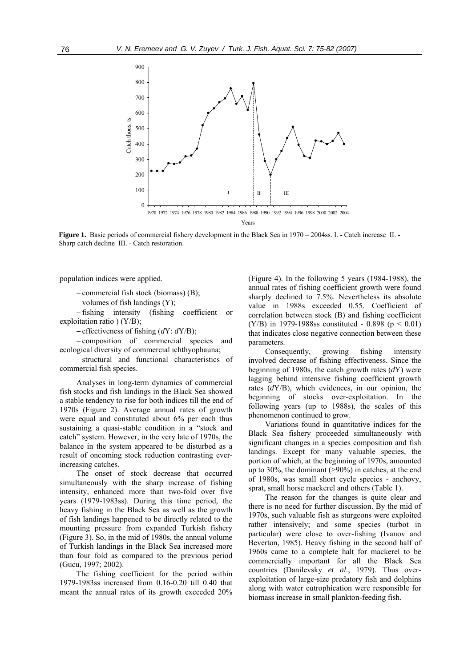

**Figure 1.** Basic periods of commercial fishery development in the Black Sea in 1970 – 2004ss. I. - Catch increase II. -Sharp catch decline III. - Catch restoration.

population indices were applied.

− commercial fish stock (biomass) (B);

− volumes of fish landings (Y);

− fishing intensity (fishing coefficient or exploitation ratio ) (Y/B);

− effectiveness of fishing (*d*Y: *d*Y/B);

− composition of commercial species and ecological diversity of commercial ichthyophauna;

− structural and functional characteristics of commercial fish species.

Analyses in long-term dynamics of commercial fish stocks and fish landings in the Black Sea showed a stable tendency to rise for both indices till the end of 1970s (Figure 2). Average annual rates of growth were equal and constituted about 6% per each thus sustaining a quasi-stable condition in a "stock and catch" system. However, in the very late of 1970s, the balance in the system appeared to be disturbed as a result of oncoming stock reduction contrasting everincreasing catches.

The onset of stock decrease that occurred simultaneously with the sharp increase of fishing intensity, enhanced more than two-fold over five years (1979-1983ss). During this time period, the heavy fishing in the Black Sea as well as the growth of fish landings happened to be directly related to the mounting pressure from expanded Turkish fishery (Figure 3). So, in the mid of 1980s, the annual volume of Turkish landings in the Black Sea increased more than four fold as compared to the previous period (Gucu, 1997; 2002).

The fishing coefficient for the period within 1979-1983ss increased from 0.16-0.20 till 0.40 that meant the annual rates of its growth exceeded 20% (Figure 4). In the following 5 years (1984-1988), the annual rates of fishing coefficient growth were found sharply declined to 7.5%. Nevertheless its absolute value in 1988s exceeded 0.55. Coefficient of correlation between stock (B) and fishing coefficient (Y/B) in 1979-1988ss constituted - 0.898 ( $p < 0.01$ ) that indicates close negative connection between these parameters.

Consequently, growing fishing intensity involved decrease of fishing effectiveness. Since the beginning of 1980s, the catch growth rates (*d*Y) were lagging behind intensive fishing coefficient growth rates (*d*Y/B), which evidences, in our opinion, the beginning of stocks over-exploitation. In the following years (up to 1988s), the scales of this phenomenon continued to grow.

Variations found in quantitative indices for the Black Sea fishery proceeded simultaneously with significant changes in a species composition and fish landings. Except for many valuable species, the portion of which, at the beginning of 1970s, amounted up to 30%, the dominant (>90%) in catches, at the end of 1980s, was small short cycle species - anchovy, sprat, small horse mackerel and others (Table 1).

The reason for the changes is quite clear and there is no need for further discussion. By the mid of 1970s, such valuable fish as sturgeons were exploited rather intensively; and some species (turbot in particular) were close to over-fishing (Ivanov and Beverton, 1985). Heavy fishing in the second half of 1960s came to a complete halt for mackerel to be commercially important for all the Black Sea countries (Danilevsky *et al*., 1979). Thus overexploitation of large-size predatory fish and dolphins along with water eutrophication were responsible for biomass increase in small plankton-feeding fish.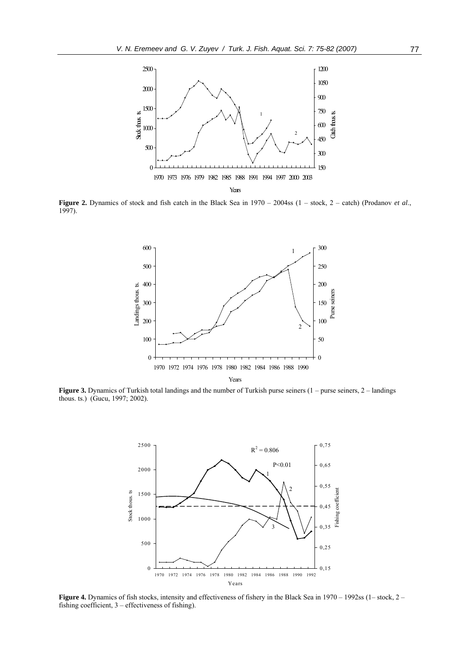

**Figure 2.** Dynamics of stock and fish catch in the Black Sea in 1970 – 2004ss (1 – stock, 2 – catch) (Prodanov *et al.*, 1997).



**Figure 3.** Dynamics of Turkish total landings and the number of Turkish purse seiners (1 – purse seiners, 2 – landings thous. ts.) (Gucu, 1997; 2002).



Figure 4. Dynamics of fish stocks, intensity and effectiveness of fishery in the Black Sea in 1970 – 1992ss (1– stock, 2– fishing coefficient, 3 – effectiveness of fishing).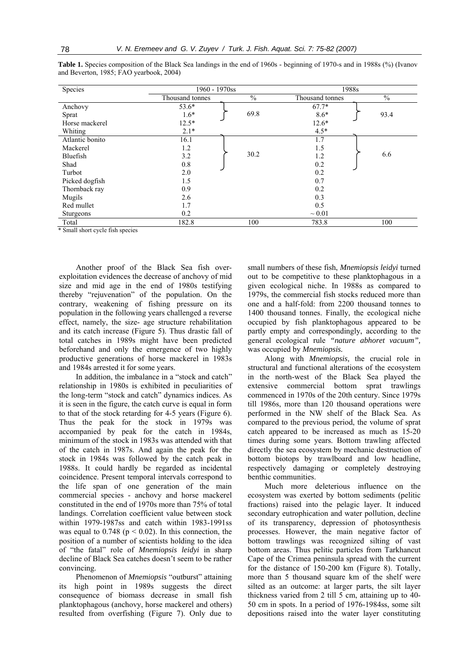| Species          | 1960 - 1970ss   |      | 1988s           |               |
|------------------|-----------------|------|-----------------|---------------|
|                  | Thousand tonnes | $\%$ | Thousand tonnes | $\frac{0}{0}$ |
| Anchovy          | $53.6*$         |      | $67.7*$         |               |
| Sprat            | $1.6*$          | 69.8 | $8.6*$          | 93.4          |
| Horse mackerel   | $12.5*$         |      | $12.6*$         |               |
| Whiting          | $2.1*$          |      | $4.5*$          |               |
| Atlantic bonito  | 16.1            |      | 1.7             |               |
| Mackerel         | 1.2             |      | 1.5             |               |
| Bluefish         | 3.2             | 30.2 | 1.2             | 6.6           |
| Shad             | 0.8             |      | 0.2             |               |
| Turbot           | 2.0             |      | 0.2             |               |
| Picked dogfish   | 1.5             |      | 0.7             |               |
| Thornback ray    | 0.9             |      | 0.2             |               |
| Mugils           | 2.6             |      | 0.3             |               |
| Red mullet       | 1.7             |      | 0.5             |               |
| <b>Sturgeons</b> | 0.2             |      | $\sim 0.01$     |               |
| Total            | 182.8           | 100  | 783.8           | 100           |

Table 1. Species composition of the Black Sea landings in the end of 1960s - beginning of 1970-s and in 1988s (%) (Ivanov and Beverton, 1985; FAO yearbook, 2004)

\* Small short cycle fish species

Another proof of the Black Sea fish overexploitation evidences the decrease of anchovy of mid size and mid age in the end of 1980s testifying thereby "rejuvenation" of the population. On the contrary, weakening of fishing pressure on its population in the following years challenged a reverse effect, namely, the size- age structure rehabilitation and its catch increase (Figure 5). Thus drastic fall of total catches in 1989s might have been predicted beforehand and only the emergence of two highly productive generations of horse mackerel in 1983s and 1984s arrested it for some years.

In addition, the imbalance in a "stock and catch" relationship in 1980s is exhibited in peculiarities of the long-term "stock and catch" dynamics indices. As it is seen in the figure, the catch curve is equal in form to that of the stock retarding for 4-5 years (Figure 6). Thus the peak for the stock in 1979s was accompanied by peak for the catch in 1984s, minimum of the stock in 1983s was attended with that of the catch in 1987s. And again the peak for the stock in 1984s was followed by the catch peak in 1988s. It could hardly be regarded as incidental coincidence. Present temporal intervals correspond to the life span of one generation of the main commercial species - anchovy and horse mackerel constituted in the end of 1970s more than 75% of total landings. Correlation coefficient value between stock within 1979-1987ss and catch within 1983-1991ss was equal to  $0.748$  ( $p < 0.02$ ). In this connection, the position of a number of scientists holding to the idea of "the fatal" role of *Mnemiopsis leidyi* in sharp decline of Black Sea catches doesn't seem to be rather convincing.

Phenomenon of *Mnemiopsis* "outburst" attaining its high point in 1989s suggests the direct consequence of biomass decrease in small fish planktophagous (anchovy, horse mackerel and others) resulted from overfishing (Figure 7). Only due to small numbers of these fish, *Mnemiopsis leidyi* turned out to be competitive to these planktophagous in a given ecological niche. In 1988s as compared to 1979s, the commercial fish stocks reduced more than one and a half-fold: from 2200 thousand tonnes to 1400 thousand tonnes. Finally, the ecological niche occupied by fish planktophagous appeared to be partly empty and correspondingly, according to the general ecological rule *"nature abhoret vacuum",* was occupied by *Mnemiopsis.*

Along with *Mnemiopsis,* the crucial role in structural and functional alterations of the ecosystem in the north-west of the Black Sea played the extensive commercial bottom sprat trawlings commenced in 1970s of the 20th century. Since 1979s till 1986s, more than 120 thousand operations were performed in the NW shelf of the Black Sea. As compared to the previous period, the volume of sprat catch appeared to be increased as much as 15-20 times during some years. Bottom trawling affected directly the sea ecosystem by mechanic destruction of bottom biotops by trawlboard and low headline, respectively damaging or completely destroying benthic communities.

Much more deleterious influence on the ecosystem was exerted by bottom sediments (pelitic fractions) raised into the pelagic layer. It induced secondary eutrophication and water pollution, decline of its transparency, depression of photosynthesis processes. However, the main negative factor of bottom trawlings was recognized silting of vast bottom areas. Thus pelitic particles from Tarkhancut Cape of the Crimea peninsula spread with the current for the distance of 150-200 km (Figure 8). Totally, more than 5 thousand square km of the shelf were silted as an outcome: at larger parts, the silt layer thickness varied from 2 till 5 cm, attaining up to 40- 50 cm in spots. In a period of 1976-1984ss, some silt depositions raised into the water layer constituting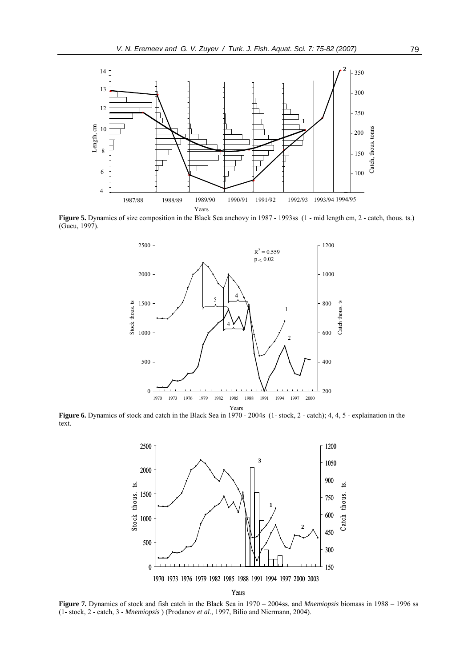

 **Figure 5.** Dynamics of size composition in the Black Sea anchovy in 1987 - 1993ss (1 - mid length cm, 2 - catch, thous. ts.) (Gucu, 1997).



**Figure 6.** Dynamics of stock and catch in the Black Sea in 1970 - 2004s (1- stock, 2 - catch); 4, 4, 5 - explaination in the text.



**Figure 7.** Dynamics of stock and fish catch in the Black Sea in 1970 – 2004ss. and *Mnemiopsis* biomass in 1988 – 1996 ss (1- stock, 2 - catch, 3 - *Mnemiopsis* ) (Prodanov *et al*., 1997, Bilio and Niermann, 2004).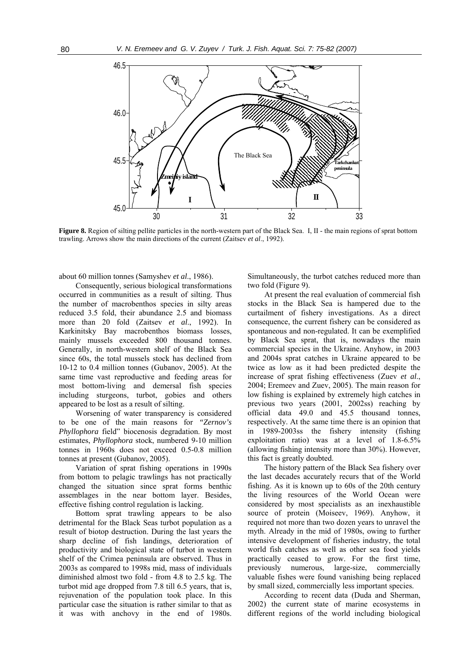

**Figure 8.** Region of silting pellite particles in the north-western part of the Black Sea. I, II - the main regions of sprat bottom trawling. Arrows show the main directions of the current (Zaitsev *et al*., 1992).

about 60 million tonnes (Samyshev *et al*., 1986).

Consequently, serious biological transformations occurred in communities as a result of silting. Thus the number of macrobenthos species in silty areas reduced 3.5 fold, their abundance 2.5 and biomass more than 20 fold (Zaitsev *et al*., 1992). In Karkinitsky Bay macrobenthos biomass losses, mainly mussels exceeded 800 thousand tonnes. Generally, in north-western shelf of the Black Sea since 60s, the total mussels stock has declined from 10-12 to 0.4 million tonnes (Gubanov, 2005). At the same time vast reproductive and feeding areas for most bottom-living and demersal fish species including sturgeons, turbot, gobies and others appeared to be lost as a result of silting.

Worsening of water transparency is considered to be one of the main reasons for *"Zernov's Phyllophora* field" biocenosis degradation. By most estimates, *Phyllophora* stock, numbered 9-10 million tonnes in 1960s does not exceed 0.5-0.8 million tonnes at present (Gubanov, 2005).

Variation of sprat fishing operations in 1990s from bottom to pelagic trawlings has not practically changed the situation since sprat forms benthic assemblages in the near bottom layer. Besides, effective fishing control regulation is lacking.

Bottom sprat trawling appears to be also detrimental for the Black Seas turbot population as a result of biotop destruction. During the last years the sharp decline of fish landings, deterioration of productivity and biological state of turbot in western shelf of the Crimea peninsula are observed. Thus in 2003s as compared to 1998s mid, mass of individuals diminished almost two fold - from 4.8 to 2.5 kg. The turbot mid age dropped from 7.8 till 6.5 years, that is, rejuvenation of the population took place. In this particular case the situation is rather similar to that as it was with anchovy in the end of 1980s.

Simultaneously, the turbot catches reduced more than two fold (Figure 9).

At present the real evaluation of commercial fish stocks in the Black Sea is hampered due to the curtailment of fishery investigations. As a direct consequence, the current fishery can be considered as spontaneous and non-regulated. It can be exemplified by Black Sea sprat, that is, nowadays the main commercial species in the Ukraine. Anyhow, in 2003 and 2004s sprat catches in Ukraine appeared to be twice as low as it had been predicted despite the increase of sprat fishing effectiveness (Zuev *et al*., 2004; Eremeev and Zuev, 2005). The main reason for low fishing is explained by extremely high catches in previous two years (2001, 2002ss) reaching by official data 49.0 and 45.5 thousand tonnes, respectively. At the same time there is an opinion that in 1989-2003ss the fishery intensity (fishing exploitation ratio) was at a level of 1.8-6.5% (allowing fishing intensity more than 30%). However, this fact is greatly doubted.

The history pattern of the Black Sea fishery over the last decades accurately recurs that of the World fishing. As it is known up to 60s of the 20th century the living resources of the World Ocean were considered by most specialists as an inexhaustible source of protein (Moiseev, 1969). Anyhow, it required not more than two dozen years to unravel the myth. Already in the mid of 1980s, owing to further intensive development of fisheries industry, the total world fish catches as well as other sea food yields practically ceased to grow. For the first time, previously numerous, large-size, commercially valuable fishes were found vanishing being replaced by small sized, commercially less important species.

According to recent data (Duda and Sherman, 2002) the current state of marine ecosystems in different regions of the world including biological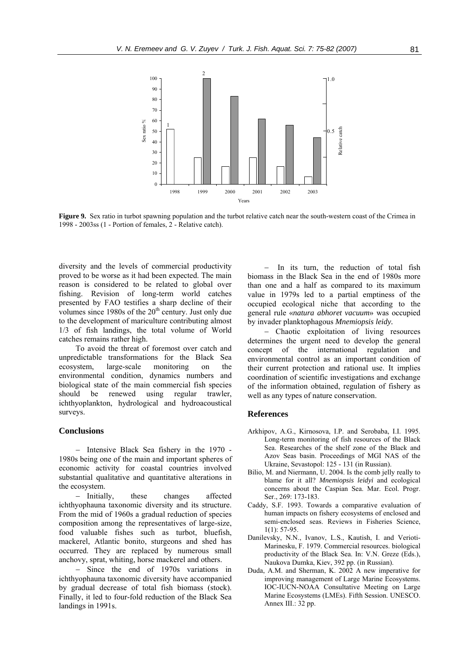

**Figure 9.** Sex ratio in turbot spawning population and the turbot relative catch near the south-western coast of the Crimea in 1998 - 2003ss (1 - Portion of females, 2 - Relative catch).

diversity and the levels of commercial productivity proved to be worse as it had been expected. The main reason is considered to be related to global over fishing. Revision of long-term world catches presented by FAO testifies a sharp decline of their volumes since  $1980s$  of the  $20<sup>th</sup>$  century. Just only due to the development of mariculture contributing almost 1/3 of fish landings, the total volume of World catches remains rather high.

To avoid the threat of foremost over catch and unpredictable transformations for the Black Sea ecosystem, large-scale monitoring on the environmental condition, dynamics numbers and biological state of the main commercial fish species should be renewed using regular trawler, ichthyoplankton, hydrological and hydroacoustical surveys.

### **Conclusions**

− Intensive Black Sea fishery in the 1970 - 1980s being one of the main and important spheres of economic activity for coastal countries involved substantial qualitative and quantitative alterations in the ecosystem.

− Initially, these changes affected ichthyophauna taxonomic diversity and its structure. From the mid of 1960s a gradual reduction of species composition among the representatives of large-size, food valuable fishes such as turbot, bluefish, mackerel, Atlantic bonito, sturgeons and shed has occurred. They are replaced by numerous small anchovy, sprat, whiting, horse mackerel and others.

− Since the end of 1970s variations in ichthyophauna taxonomic diversity have accompanied by gradual decrease of total fish biomass (stock). Finally, it led to four-fold reduction of the Black Sea landings in 1991s.

In its turn, the reduction of total fish biomass in the Black Sea in the end of 1980s more than one and a half as compared to its maximum value in 1979s led to a partial emptiness of the occupied ecological niche that according to the general rule «*natura abhoret vacuum*» was occupied by invader planktophagous *Mnemiopsis leidy.* 

− Chaotic exploitation of living resources determines the urgent need to develop the general concept of the international regulation and environmental control as an important condition of their current protection and rational use. It implies coordination of scientific investigations and exchange of the information obtained, regulation of fishery as well as any types of nature conservation.

#### **References**

- Arkhipov, A.G., Kirnosova, I.P. and Serobaba, I.I. 1995. Long-term monitoring of fish resources of the Black Sea. Researches of the shelf zone of the Black and Azov Seas basin. Proceedings of MGI NAS of the Ukraine, Sevastopol: 125 - 131 (in Russian).
- Bilio, M. and Niermann, U. 2004. Is the comb jelly really to blame for it all? *Mnemiopsis leidyi* and ecological concerns about the Caspian Sea. Mar. Ecol. Progr. Ser., 269: 173-183.
- Caddy, S.F. 1993. Towards a comparative evaluation of human impacts on fishery ecosystems of enclosed and semi-enclosed seas. Reviews in Fisheries Science,  $1(1)$ : 57-95.
- Danilevsky, N.N., Ivanov, L.S., Kautish, I. and Verioti-Marinesku, F. 1979. Commercial resources. biological productivity of the Black Sea. In: V.N. Greze (Eds.), Naukova Dumka, Kiev, 392 pp. (in Russian).
- Duda, A.M. and Sherman, K. 2002 A new imperative for improving management of Large Marine Ecosystems. IOC-IUCN-NOAA Consultative Meeting on Large Marine Ecosystems (LMEs). Fifth Session. UNESCO. Annex III.: 32 pp.